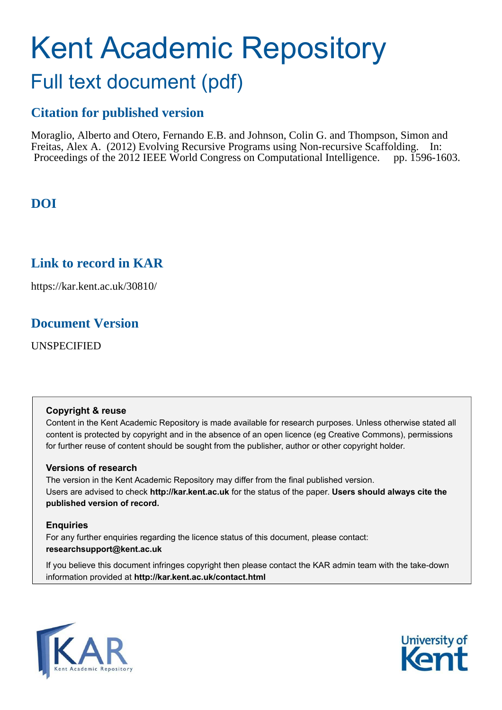# Kent Academic Repository Full text document (pdf)

# **Citation for published version**

Moraglio, Alberto and Otero, Fernando E.B. and Johnson, Colin G. and Thompson, Simon and Freitas, Alex A. (2012) Evolving Recursive Programs using Non-recursive Scaffolding. In: Proceedings of the 2012 IEEE World Congress on Computational Intelligence. pp. 1596-1603.

# **DOI**

## **Link to record in KAR**

https://kar.kent.ac.uk/30810/

## **Document Version**

UNSPECIFIED

#### **Copyright & reuse**

Content in the Kent Academic Repository is made available for research purposes. Unless otherwise stated all content is protected by copyright and in the absence of an open licence (eg Creative Commons), permissions for further reuse of content should be sought from the publisher, author or other copyright holder.

## **Versions of research**

The version in the Kent Academic Repository may differ from the final published version. Users are advised to check **http://kar.kent.ac.uk** for the status of the paper. **Users should always cite the published version of record.**

#### **Enquiries**

For any further enquiries regarding the licence status of this document, please contact: **researchsupport@kent.ac.uk**

If you believe this document infringes copyright then please contact the KAR admin team with the take-down information provided at **http://kar.kent.ac.uk/contact.html**



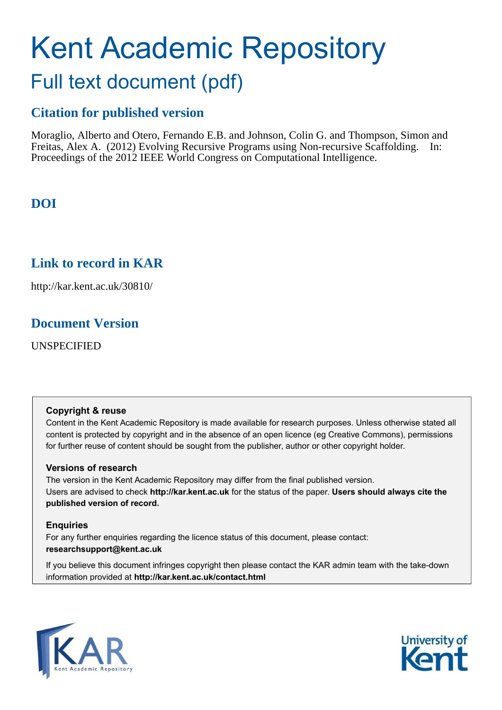# Kent Academic Repository

# Full text document (pdf)

# **Citation for published version**

Moraglio, Alberto and Otero, Fernando E.B. and Johnson, Colin G. and Thompson, Simon and Freitas, Alex A. (2012) Evolving Recursive Programs using Non-recursive Scaffolding. In: Proceedings of the 2012 IEEE World Congress on Computational Intelligence.

# **DOI**

# **Link to record in KAR**

http://kar.kent.ac.uk/30810/

# **Document Version**

UNSPECIFIED

## **Copyright & reuse**

Content in the Kent Academic Repository is made available for research purposes. Unless otherwise stated all content is protected by copyright and in the absence of an open licence (eg Creative Commons), permissions for further reuse of content should be sought from the publisher, author or other copyright holder.

## **Versions of research**

The version in the Kent Academic Repository may differ from the final published version. Users are advised to check **http://kar.kent.ac.uk** for the status of the paper. **Users should always cite the published version of record.**

## **Enquiries**

For any further enquiries regarding the licence status of this document, please contact: **researchsupport@kent.ac.uk**

If you believe this document infringes copyright then please contact the KAR admin team with the take-down information provided at **http://kar.kent.ac.uk/contact.html**



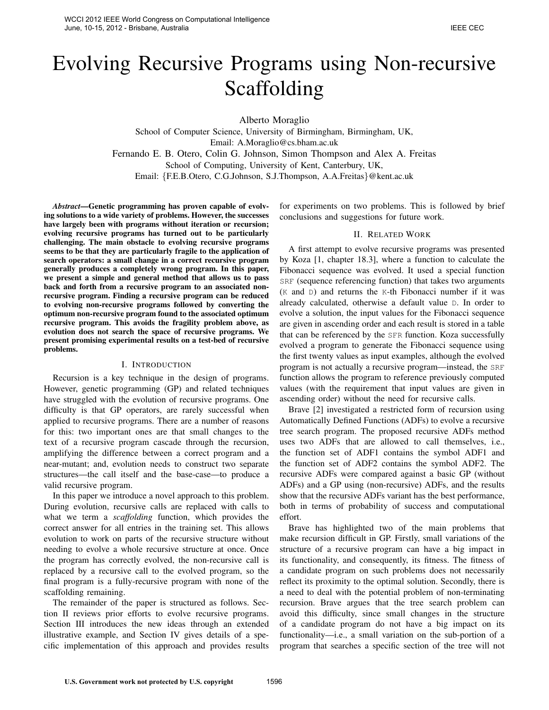# Evolving Recursive Programs using Non-recursive Scaffolding

Alberto Moraglio

School of Computer Science, University of Birmingham, Birmingham, UK, Email: A.Moraglio@cs.bham.ac.uk Fernando E. B. Otero, Colin G. Johnson, Simon Thompson and Alex A. Freitas School of Computing, University of Kent, Canterbury, UK, Email: {F.E.B.Otero, C.G.Johnson, S.J.Thompson, A.A.Freitas}@kent.ac.uk

*Abstract*—Genetic programming has proven capable of evolving solutions to a wide variety of problems. However, the successes have largely been with programs without iteration or recursion; evolving recursive programs has turned out to be particularly challenging. The main obstacle to evolving recursive programs seems to be that they are particularly fragile to the application of search operators: a small change in a correct recursive program generally produces a completely wrong program. In this paper, we present a simple and general method that allows us to pass back and forth from a recursive program to an associated nonrecursive program. Finding a recursive program can be reduced to evolving non-recursive programs followed by converting the optimum non-recursive program found to the associated optimum recursive program. This avoids the fragility problem above, as evolution does not search the space of recursive programs. We present promising experimental results on a test-bed of recursive problems.

#### I. INTRODUCTION

Recursion is a key technique in the design of programs. However, genetic programming (GP) and related techniques have struggled with the evolution of recursive programs. One difficulty is that GP operators, are rarely successful when applied to recursive programs. There are a number of reasons for this: two important ones are that small changes to the text of a recursive program cascade through the recursion, amplifying the difference between a correct program and a near-mutant; and, evolution needs to construct two separate structures—the call itself and the base-case—to produce a valid recursive program.

In this paper we introduce a novel approach to this problem. During evolution, recursive calls are replaced with calls to what we term a *scaffolding* function, which provides the correct answer for all entries in the training set. This allows evolution to work on parts of the recursive structure without needing to evolve a whole recursive structure at once. Once the program has correctly evolved, the non-recursive call is replaced by a recursive call to the evolved program, so the final program is a fully-recursive program with none of the scaffolding remaining.

The remainder of the paper is structured as follows. Section II reviews prior efforts to evolve recursive programs. Section III introduces the new ideas through an extended illustrative example, and Section IV gives details of a specific implementation of this approach and provides results for experiments on two problems. This is followed by brief conclusions and suggestions for future work.

#### II. RELATED WORK

A first attempt to evolve recursive programs was presented by Koza [1, chapter 18.3], where a function to calculate the Fibonacci sequence was evolved. It used a special function SRF (sequence referencing function) that takes two arguments (K and D) and returns the K-th Fibonacci number if it was already calculated, otherwise a default value D. In order to evolve a solution, the input values for the Fibonacci sequence are given in ascending order and each result is stored in a table that can be referenced by the SFR function. Koza successfully evolved a program to generate the Fibonacci sequence using the first twenty values as input examples, although the evolved program is not actually a recursive program—instead, the SRF function allows the program to reference previously computed values (with the requirement that input values are given in ascending order) without the need for recursive calls.

Brave [2] investigated a restricted form of recursion using Automatically Defined Functions (ADFs) to evolve a recursive tree search program. The proposed recursive ADFs method uses two ADFs that are allowed to call themselves, i.e., the function set of ADF1 contains the symbol ADF1 and the function set of ADF2 contains the symbol ADF2. The recursive ADFs were compared against a basic GP (without ADFs) and a GP using (non-recursive) ADFs, and the results show that the recursive ADFs variant has the best performance, both in terms of probability of success and computational effort.

Brave has highlighted two of the main problems that make recursion difficult in GP. Firstly, small variations of the structure of a recursive program can have a big impact in its functionality, and consequently, its fitness. The fitness of a candidate program on such problems does not necessarily reflect its proximity to the optimal solution. Secondly, there is a need to deal with the potential problem of non-terminating recursion. Brave argues that the tree search problem can avoid this difficulty, since small changes in the structure of a candidate program do not have a big impact on its functionality—i.e., a small variation on the sub-portion of a program that searches a specific section of the tree will not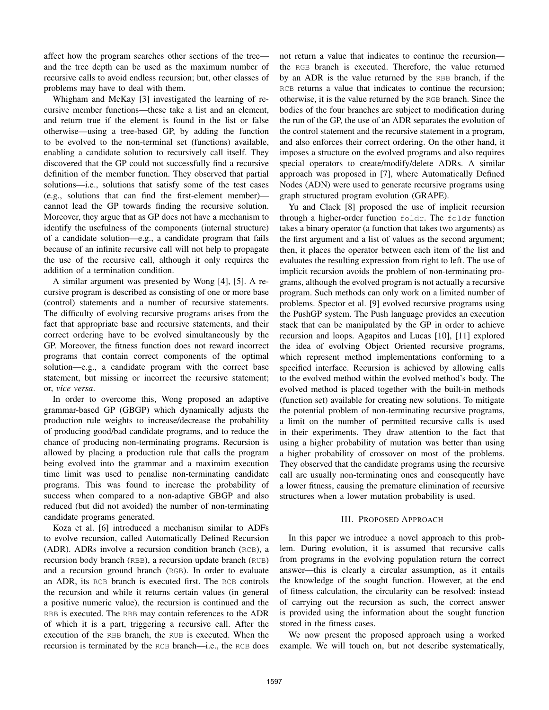affect how the program searches other sections of the tree and the tree depth can be used as the maximum number of recursive calls to avoid endless recursion; but, other classes of problems may have to deal with them.

Whigham and McKay [3] investigated the learning of recursive member functions—these take a list and an element, and return true if the element is found in the list or false otherwise—using a tree-based GP, by adding the function to be evolved to the non-terminal set (functions) available, enabling a candidate solution to recursively call itself. They discovered that the GP could not successfully find a recursive definition of the member function. They observed that partial solutions—i.e., solutions that satisfy some of the test cases (e.g., solutions that can find the first-element member) cannot lead the GP towards finding the recursive solution. Moreover, they argue that as GP does not have a mechanism to identify the usefulness of the components (internal structure) of a candidate solution—e.g., a candidate program that fails because of an infinite recursive call will not help to propagate the use of the recursive call, although it only requires the addition of a termination condition.

A similar argument was presented by Wong [4], [5]. A recursive program is described as consisting of one or more base (control) statements and a number of recursive statements. The difficulty of evolving recursive programs arises from the fact that appropriate base and recursive statements, and their correct ordering have to be evolved simultaneously by the GP. Moreover, the fitness function does not reward incorrect programs that contain correct components of the optimal solution—e.g., a candidate program with the correct base statement, but missing or incorrect the recursive statement; or, *vice versa*.

In order to overcome this, Wong proposed an adaptive grammar-based GP (GBGP) which dynamically adjusts the production rule weights to increase/decrease the probability of producing good/bad candidate programs, and to reduce the chance of producing non-terminating programs. Recursion is allowed by placing a production rule that calls the program being evolved into the grammar and a maximim execution time limit was used to penalise non-terminating candidate programs. This was found to increase the probability of success when compared to a non-adaptive GBGP and also reduced (but did not avoided) the number of non-terminating candidate programs generated.

Koza et al. [6] introduced a mechanism similar to ADFs to evolve recursion, called Automatically Defined Recursion (ADR). ADRs involve a recursion condition branch (RCB), a recursion body branch (RBB), a recursion update branch (RUB) and a recursion ground branch (RGB). In order to evaluate an ADR, its RCB branch is executed first. The RCB controls the recursion and while it returns certain values (in general a positive numeric value), the recursion is continued and the RBB is executed. The RBB may contain references to the ADR of which it is a part, triggering a recursive call. After the execution of the RBB branch, the RUB is executed. When the recursion is terminated by the RCB branch—i.e., the RCB does not return a value that indicates to continue the recursion the RGB branch is executed. Therefore, the value returned by an ADR is the value returned by the RBB branch, if the RCB returns a value that indicates to continue the recursion; otherwise, it is the value returned by the RGB branch. Since the bodies of the four branches are subject to modification during the run of the GP, the use of an ADR separates the evolution of the control statement and the recursive statement in a program, and also enforces their correct ordering. On the other hand, it imposes a structure on the evolved programs and also requires special operators to create/modify/delete ADRs. A similar approach was proposed in [7], where Automatically Defined Nodes (ADN) were used to generate recursive programs using graph structured program evolution (GRAPE).

Yu and Clack [8] proposed the use of implicit recursion through a higher-order function foldr. The foldr function takes a binary operator (a function that takes two arguments) as the first argument and a list of values as the second argument; then, it places the operator between each item of the list and evaluates the resulting expression from right to left. The use of implicit recursion avoids the problem of non-terminating programs, although the evolved program is not actually a recursive program. Such methods can only work on a limited number of problems. Spector et al. [9] evolved recursive programs using the PushGP system. The Push language provides an execution stack that can be manipulated by the GP in order to achieve recursion and loops. Agapitos and Lucas [10], [11] explored the idea of evolving Object Oriented recursive programs, which represent method implementations conforming to a specified interface. Recursion is achieved by allowing calls to the evolved method within the evolved method's body. The evolved method is placed together with the built-in methods (function set) available for creating new solutions. To mitigate the potential problem of non-terminating recursive programs, a limit on the number of permitted recursive calls is used in their experiments. They draw attention to the fact that using a higher probability of mutation was better than using a higher probability of crossover on most of the problems. They observed that the candidate programs using the recursive call are usually non-terminating ones and consequently have a lower fitness, causing the premature elimination of recursive structures when a lower mutation probability is used.

#### III. PROPOSED APPROACH

In this paper we introduce a novel approach to this problem. During evolution, it is assumed that recursive calls from programs in the evolving population return the correct answer—this is clearly a circular assumption, as it entails the knowledge of the sought function. However, at the end of fitness calculation, the circularity can be resolved: instead of carrying out the recursion as such, the correct answer is provided using the information about the sought function stored in the fitness cases.

We now present the proposed approach using a worked example. We will touch on, but not describe systematically,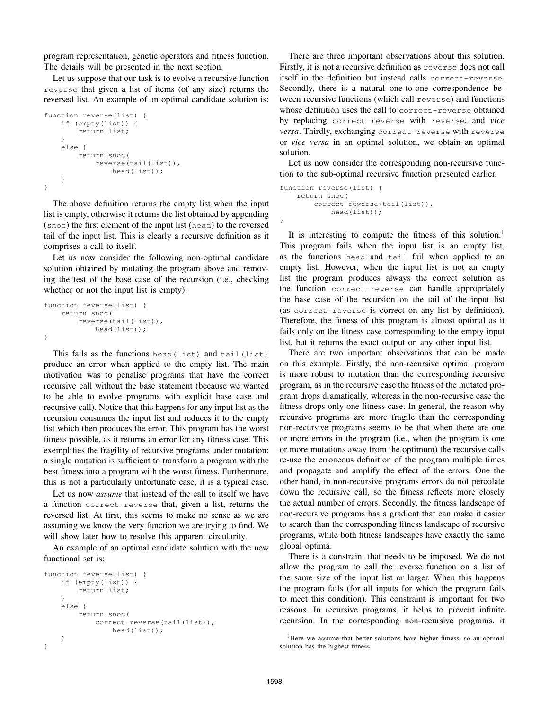program representation, genetic operators and fitness function. The details will be presented in the next section.

Let us suppose that our task is to evolve a recursive function reverse that given a list of items (of any size) returns the reversed list. An example of an optimal candidate solution is:

```
function reverse(list) {
    if (empty(list)) {
        return list;
    }
    else {
        return snoc(
            reverse(tail(list)),
                head(list));
    }
}
```
The above definition returns the empty list when the input list is empty, otherwise it returns the list obtained by appending (snoc) the first element of the input list (head) to the reversed tail of the input list. This is clearly a recursive definition as it comprises a call to itself.

Let us now consider the following non-optimal candidate solution obtained by mutating the program above and removing the test of the base case of the recursion (i.e., checking whether or not the input list is empty):

```
function reverse(list) {
    return snoc(
        reverse(tail(list)),
            head(list));
}
```
This fails as the functions head(list) and tail(list) produce an error when applied to the empty list. The main motivation was to penalise programs that have the correct recursive call without the base statement (because we wanted to be able to evolve programs with explicit base case and recursive call). Notice that this happens for any input list as the recursion consumes the input list and reduces it to the empty list which then produces the error. This program has the worst fitness possible, as it returns an error for any fitness case. This exemplifies the fragility of recursive programs under mutation: a single mutation is sufficient to transform a program with the best fitness into a program with the worst fitness. Furthermore, this is not a particularly unfortunate case, it is a typical case.

Let us now *assume* that instead of the call to itself we have a function correct-reverse that, given a list, returns the reversed list. At first, this seems to make no sense as we are assuming we know the very function we are trying to find. We will show later how to resolve this apparent circularity.

An example of an optimal candidate solution with the new functional set is:

```
function reverse(list) {
    if (empty(list)) {
        return list;
    }
    else {
        return snoc(
            correct-reverse(tail(list)),
                head(list));
    }
}
```
There are three important observations about this solution. Firstly, it is not a recursive definition as reverse does not call itself in the definition but instead calls correct-reverse. Secondly, there is a natural one-to-one correspondence between recursive functions (which call reverse) and functions whose definition uses the call to correct-reverse obtained by replacing correct-reverse with reverse, and *vice versa*. Thirdly, exchanging correct-reverse with reverse or *vice versa* in an optimal solution, we obtain an optimal solution.

Let us now consider the corresponding non-recursive function to the sub-optimal recursive function presented earlier.

```
function reverse(list) {
   return snoc(
        correct-reverse(tail(list)),
            head(list));
}
```
It is interesting to compute the fitness of this solution.<sup>1</sup> This program fails when the input list is an empty list, as the functions head and tail fail when applied to an empty list. However, when the input list is not an empty list the program produces always the correct solution as the function correct-reverse can handle appropriately the base case of the recursion on the tail of the input list (as correct-reverse is correct on any list by definition). Therefore, the fitness of this program is almost optimal as it fails only on the fitness case corresponding to the empty input list, but it returns the exact output on any other input list.

There are two important observations that can be made on this example. Firstly, the non-recursive optimal program is more robust to mutation than the corresponding recursive program, as in the recursive case the fitness of the mutated program drops dramatically, whereas in the non-recursive case the fitness drops only one fitness case. In general, the reason why recursive programs are more fragile than the corresponding non-recursive programs seems to be that when there are one or more errors in the program (i.e., when the program is one or more mutations away from the optimum) the recursive calls re-use the erroneous definition of the program multiple times and propagate and amplify the effect of the errors. One the other hand, in non-recursive programs errors do not percolate down the recursive call, so the fitness reflects more closely the actual number of errors. Secondly, the fitness landscape of non-recursive programs has a gradient that can make it easier to search than the corresponding fitness landscape of recursive programs, while both fitness landscapes have exactly the same global optima.

There is a constraint that needs to be imposed. We do not allow the program to call the reverse function on a list of the same size of the input list or larger. When this happens the program fails (for all inputs for which the program fails to meet this condition). This constraint is important for two reasons. In recursive programs, it helps to prevent infinite recursion. In the corresponding non-recursive programs, it

<sup>&</sup>lt;sup>1</sup>Here we assume that better solutions have higher fitness, so an optimal solution has the highest fitness.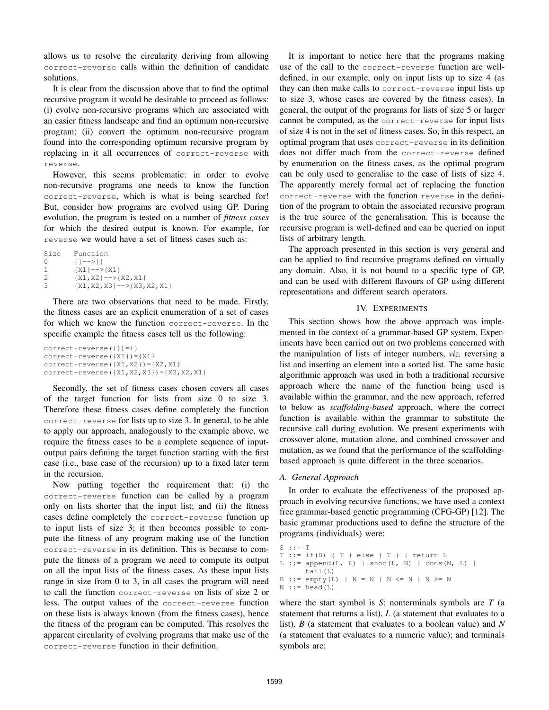allows us to resolve the circularity deriving from allowing correct-reverse calls within the definition of candidate solutions.

It is clear from the discussion above that to find the optimal recursive program it would be desirable to proceed as follows: (i) evolve non-recursive programs which are associated with an easier fitness landscape and find an optimum non-recursive program; (ii) convert the optimum non-recursive program found into the corresponding optimum recursive program by replacing in it all occurrences of correct-reverse with reverse.

However, this seems problematic: in order to evolve non-recursive programs one needs to know the function correct-reverse, which is what is being searched for! But, consider how programs are evolved using GP. During evolution, the program is tested on a number of *fitness cases* for which the desired output is known. For example, for reverse we would have a set of fitness cases such as:

```
Size Function
0 \{\}->{}<br>1 \{X1\}-->
1 \{X1\}->{X1}<br>2 \{X1, X2\}->{
          \{X1, X2\}->\{X2, X1\}3 {X1, X2, X3} \longrightarrow {X3, X2, X1}
```
There are two observations that need to be made. Firstly, the fitness cases are an explicit enumeration of a set of cases for which we know the function correct-reverse. In the specific example the fitness cases tell us the following:

```
correct-reverse({})={}
correct-reverse({X1})={X1}
correct-reverse({X1, X2})={X2, X1}correct-reverse({X1,X2,X3})={X3,X2,X1}
```
Secondly, the set of fitness cases chosen covers all cases of the target function for lists from size 0 to size 3. Therefore these fitness cases define completely the function correct-reverse for lists up to size 3. In general, to be able to apply our approach, analogously to the example above, we require the fitness cases to be a complete sequence of inputoutput pairs defining the target function starting with the first case (i.e., base case of the recursion) up to a fixed later term in the recursion.

Now putting together the requirement that: (i) the correct-reverse function can be called by a program only on lists shorter that the input list; and (ii) the fitness cases define completely the correct-reverse function up to input lists of size 3; it then becomes possible to compute the fitness of any program making use of the function correct-reverse in its definition. This is because to compute the fitness of a program we need to compute its output on all the input lists of the fitness cases. As these input lists range in size from 0 to 3, in all cases the program will need to call the function correct-reverse on lists of size 2 or less. The output values of the correct-reverse function on these lists is always known (from the fitness cases), hence the fitness of the program can be computed. This resolves the apparent circularity of evolving programs that make use of the correct-reverse function in their definition.

It is important to notice here that the programs making use of the call to the correct-reverse function are welldefined, in our example, only on input lists up to size 4 (as they can then make calls to correct-reverse input lists up to size 3, whose cases are covered by the fitness cases). In general, the output of the programs for lists of size 5 or larger cannot be computed, as the correct-reverse for input lists of size 4 is not in the set of fitness cases. So, in this respect, an optimal program that uses correct-reverse in its definition does not differ much from the correct-reverse defined by enumeration on the fitness cases, as the optimal program can be only used to generalise to the case of lists of size 4. The apparently merely formal act of replacing the function correct-reverse with the function reverse in the definition of the program to obtain the associated recursive program is the true source of the generalisation. This is because the recursive program is well-defined and can be queried on input lists of arbitrary length.

The approach presented in this section is very general and can be applied to find recursive programs defined on virtually any domain. Also, it is not bound to a specific type of GP, and can be used with different flavours of GP using different representations and different search operators.

#### IV. EXPERIMENTS

This section shows how the above approach was implemented in the context of a grammar-based GP system. Experiments have been carried out on two problems concerned with the manipulation of lists of integer numbers, *viz.* reversing a list and inserting an element into a sorted list. The same basic algorithmic approach was used in both a traditional recursive approach where the name of the function being used is available within the grammar, and the new approach, referred to below as *scaffolding-based* approach, where the correct function is available within the grammar to substitute the recursive call during evolution. We present experiments with crossover alone, mutation alone, and combined crossover and mutation, as we found that the performance of the scaffoldingbased approach is quite different in the three scenarios.

#### *A. General Approach*

In order to evaluate the effectiveness of the proposed approach in evolving recursive functions, we have used a context free grammar-based genetic programming (CFG-GP) [12]. The basic grammar productions used to define the structure of the programs (individuals) were:

```
S : := TT ::= if(B) { T } else { T } | return LL ::= append(L, L) | succ(L, N) | cons(N, L) |tail(T<sub>1</sub>)B ::= empty(L) | N = N | N <= N | N >= N
N : := head(L)
```
where the start symbol is *S*; nonterminals symbols are *T* (a statement that returns a list), *L* (a statement that evaluates to a list), *B* (a statement that evaluates to a boolean value) and *N* (a statement that evaluates to a numeric value); and terminals symbols are: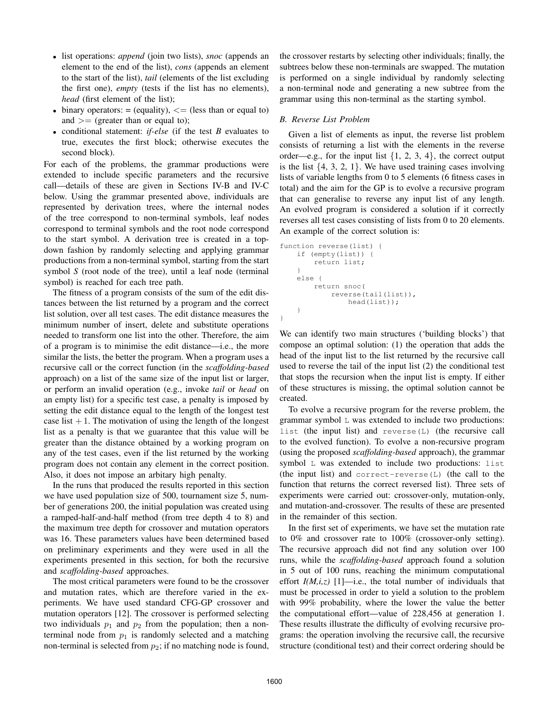- list operations: *append* (join two lists), *snoc* (appends an element to the end of the list), *cons* (appends an element to the start of the list), *tail* (elements of the list excluding the first one), *empty* (tests if the list has no elements), *head* (first element of the list);
- binary operators:  $=$  (equality),  $\leq$  (less than or equal to) and  $\geq$  (greater than or equal to);
- conditional statement: *if-else* (if the test *B* evaluates to true, executes the first block; otherwise executes the second block).

For each of the problems, the grammar productions were extended to include specific parameters and the recursive call—details of these are given in Sections IV-B and IV-C below. Using the grammar presented above, individuals are represented by derivation trees, where the internal nodes of the tree correspond to non-terminal symbols, leaf nodes correspond to terminal symbols and the root node correspond to the start symbol. A derivation tree is created in a topdown fashion by randomly selecting and applying grammar productions from a non-terminal symbol, starting from the start symbol *S* (root node of the tree), until a leaf node (terminal symbol) is reached for each tree path.

The fitness of a program consists of the sum of the edit distances between the list returned by a program and the correct list solution, over all test cases. The edit distance measures the minimum number of insert, delete and substitute operations needed to transform one list into the other. Therefore, the aim of a program is to minimise the edit distance—i.e., the more similar the lists, the better the program. When a program uses a recursive call or the correct function (in the *scaffolding-based* approach) on a list of the same size of the input list or larger, or perform an invalid operation (e.g., invoke *tail* or *head* on an empty list) for a specific test case, a penalty is imposed by setting the edit distance equal to the length of the longest test case list  $+1$ . The motivation of using the length of the longest list as a penalty is that we guarantee that this value will be greater than the distance obtained by a working program on any of the test cases, even if the list returned by the working program does not contain any element in the correct position. Also, it does not impose an arbitary high penalty.

In the runs that produced the results reported in this section we have used population size of 500, tournament size 5, number of generations 200, the initial population was created using a ramped-half-and-half method (from tree depth 4 to 8) and the maximum tree depth for crossover and mutation operators was 16. These parameters values have been determined based on preliminary experiments and they were used in all the experiments presented in this section, for both the recursive and *scaffolding-based* approaches.

The most critical parameters were found to be the crossover and mutation rates, which are therefore varied in the experiments. We have used standard CFG-GP crossover and mutation operators [12]. The crossover is performed selecting two individuals  $p_1$  and  $p_2$  from the population; then a nonterminal node from  $p_1$  is randomly selected and a matching non-terminal is selected from  $p_2$ ; if no matching node is found, the crossover restarts by selecting other individuals; finally, the subtrees below these non-terminals are swapped. The mutation is performed on a single individual by randomly selecting a non-terminal node and generating a new subtree from the grammar using this non-terminal as the starting symbol.

#### *B. Reverse List Problem*

Given a list of elements as input, the reverse list problem consists of returning a list with the elements in the reverse order—e.g., for the input list  $\{1, 2, 3, 4\}$ , the correct output is the list  $\{4, 3, 2, 1\}$ . We have used training cases involving lists of variable lengths from 0 to 5 elements (6 fitness cases in total) and the aim for the GP is to evolve a recursive program that can generalise to reverse any input list of any length. An evolved program is considered a solution if it correctly reverses all test cases consisting of lists from 0 to 20 elements. An example of the correct solution is:

```
function reverse(list) {
    if (empty(list)) {
        return list;
    }
    else {
        return snoc(
            reverse(tail(list)),
                head(list));
    }
}
```
We can identify two main structures ('building blocks') that compose an optimal solution: (1) the operation that adds the head of the input list to the list returned by the recursive call used to reverse the tail of the input list (2) the conditional test that stops the recursion when the input list is empty. If either of these structures is missing, the optimal solution cannot be created.

To evolve a recursive program for the reverse problem, the grammar symbol L was extended to include two productions: list (the input list) and reverse(L) (the recursive call to the evolved function). To evolve a non-recursive program (using the proposed *scaffolding-based* approach), the grammar symbol L was extended to include two productions: list (the input list) and correct-reverse(L) (the call to the function that returns the correct reversed list). Three sets of experiments were carried out: crossover-only, mutation-only, and mutation-and-crossover. The results of these are presented in the remainder of this section.

In the first set of experiments, we have set the mutation rate to 0% and crossover rate to 100% (crossover-only setting). The recursive approach did not find any solution over 100 runs, while the *scaffolding-based* approach found a solution in 5 out of 100 runs, reaching the minimum computational effort  $I(M,i,z)$  [1]—i.e., the total number of individuals that must be processed in order to yield a solution to the problem with 99% probability, where the lower the value the better the computational effort—value of 228,456 at generation 1. These results illustrate the difficulty of evolving recursive programs: the operation involving the recursive call, the recursive structure (conditional test) and their correct ordering should be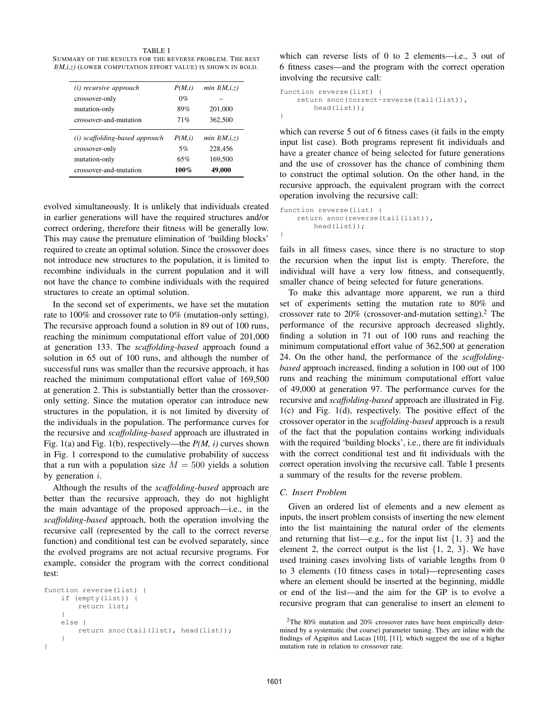TABLE I SUMMARY OF THE RESULTS FOR THE REVERSE PROBLEM. THE BEST *I(M,i,z)* (LOWER COMPUTATION EFFORT VALUE) IS SHOWN IN BOLD.

| (i) recursive approach                  | P(M,i) | min $I(M,i,z)$ |
|-----------------------------------------|--------|----------------|
| crossover-only                          | $0\%$  |                |
| mutation-only                           | 89%    | 201,000        |
| crossover-and-mutation                  | 71%    | 362,500        |
| ( <i>i</i> ) scaffolding-based approach | P(M,i) | min $I(M,i,z)$ |
| crossover-only                          | 5%     | 228,456        |
| mutation-only                           | 65%    | 169,500        |
| crossover-and-mutation                  | 100%   | 49,000         |

evolved simultaneously. It is unlikely that individuals created in earlier generations will have the required structures and/or correct ordering, therefore their fitness will be generally low. This may cause the premature elimination of 'building blocks' required to create an optimal solution. Since the crossover does not introduce new structures to the population, it is limited to recombine individuals in the current population and it will not have the chance to combine individuals with the required structures to create an optimal solution.

In the second set of experiments, we have set the mutation rate to 100% and crossover rate to 0% (mutation-only setting). The recursive approach found a solution in 89 out of 100 runs, reaching the minimum computational effort value of 201,000 at generation 133. The *scaffolding-based* approach found a solution in 65 out of 100 runs, and although the number of successful runs was smaller than the recursive approach, it has reached the minimum computational effort value of 169,500 at generation 2. This is substantially better than the crossoveronly setting. Since the mutation operator can introduce new structures in the population, it is not limited by diversity of the individuals in the population. The performance curves for the recursive and *scaffolding-based* approach are illustrated in Fig. 1(a) and Fig. 1(b), respectively—the *P(M, i)* curves shown in Fig. 1 correspond to the cumulative probability of success that a run with a population size  $M = 500$  yields a solution by generation  $i$ .

Although the results of the *scaffolding-based* approach are better than the recursive approach, they do not highlight the main advantage of the proposed approach—i.e., in the *scaffolding-based* approach, both the operation involving the recursive call (represented by the call to the correct reverse function) and conditional test can be evolved separately, since the evolved programs are not actual recursive programs. For example, consider the program with the correct conditional test:

```
function reverse(list) {
    if (empty(list)) {
        return list;
    }
    else {
        return snoc(tail(list), head(list));
    }
}
```
which can reverse lists of 0 to 2 elements—i.e., 3 out of 6 fitness cases—and the program with the correct operation involving the recursive call:

```
function reverse(list) {
   return snoc(correct-reverse(tail(list)),
       head(list));
}
```
which can reverse 5 out of 6 fitness cases (it fails in the empty input list case). Both programs represent fit individuals and have a greater chance of being selected for future generations and the use of crossover has the chance of combining them to construct the optimal solution. On the other hand, in the recursive approach, the equivalent program with the correct operation involving the recursive call:

```
function reverse(list) {
   return snoc(reverse(tail(list)),
       head(list));
}
```
fails in all fitness cases, since there is no structure to stop the recursion when the input list is empty. Therefore, the individual will have a very low fitness, and consequently, smaller chance of being selected for future generations.

To make this advantage more apparent, we run a third set of experiments setting the mutation rate to 80% and crossover rate to 20% (crossover-and-mutation setting).<sup>2</sup> The performance of the recursive approach decreased slightly, finding a solution in 71 out of 100 runs and reaching the minimum computational effort value of 362,500 at generation 24. On the other hand, the performance of the *scaffoldingbased* approach increased, finding a solution in 100 out of 100 runs and reaching the minimum computational effort value of 49,000 at generation 97. The performance curves for the recursive and *scaffolding-based* approach are illustrated in Fig. 1(c) and Fig. 1(d), respectively. The positive effect of the crossover operator in the *scaffolding-based* approach is a result of the fact that the population contains working individuals with the required 'building blocks', i.e., there are fit individuals with the correct conditional test and fit individuals with the correct operation involving the recursive call. Table I presents a summary of the results for the reverse problem.

#### *C. Insert Problem*

Given an ordered list of elements and a new element as inputs, the insert problem consists of inserting the new element into the list maintaining the natural order of the elements and returning that list—e.g., for the input list  $\{1, 3\}$  and the element 2, the correct output is the list  $\{1, 2, 3\}$ . We have used training cases involving lists of variable lengths from 0 to 3 elements (10 fitness cases in total)—representing cases where an element should be inserted at the beginning, middle or end of the list—and the aim for the GP is to evolve a recursive program that can generalise to insert an element to

 $2$ The 80% mutation and 20% crossover rates have been empirically determined by a systematic (but coarse) parameter tuning. They are inline with the findings of Agapitos and Lucas [10], [11], which suggest the use of a higher mutation rate in relation to crossover rate.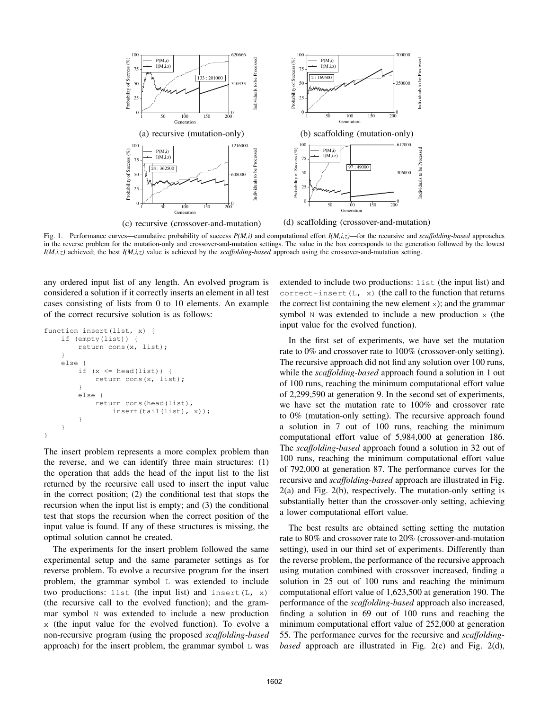

Fig. 1. Performance curves—cumulative probability of success *P(M,i)* and computational effort *I(M,i,z)*—for the recursive and *scaffolding-based* approaches in the reverse problem for the mutation-only and crossover-and-mutation settings. The value in the box corresponds to the generation followed by the lowest *I(M,i,z)* achieved; the best *I(M,i,z)* value is achieved by the *scaffolding-based* approach using the crossover-and-mutation setting.

any ordered input list of any length. An evolved program is considered a solution if it correctly inserts an element in all test cases consisting of lists from 0 to 10 elements. An example of the correct recursive solution is as follows:

```
function insert(list, x)
    if (empty(list)) {
        return cons(x, list);
    }
    else {
        if (x \leq head(list)) {
             return cons(x, list);
         }
        else {
             return cons(head(list),
                 insert(tail(list), x));
        }
    }
}
```
The insert problem represents a more complex problem than the reverse, and we can identify three main structures: (1) the operation that adds the head of the input list to the list returned by the recursive call used to insert the input value in the correct position; (2) the conditional test that stops the recursion when the input list is empty; and (3) the conditional test that stops the recursion when the correct position of the input value is found. If any of these structures is missing, the optimal solution cannot be created.

The experiments for the insert problem followed the same experimental setup and the same parameter settings as for reverse problem. To evolve a recursive program for the insert problem, the grammar symbol L was extended to include two productions: list (the input list) and insert  $(L, x)$ (the recursive call to the evolved function); and the grammar symbol N was extended to include a new production x (the input value for the evolved function). To evolve a non-recursive program (using the proposed *scaffolding-based* approach) for the insert problem, the grammar symbol  $L$  was extended to include two productions: list (the input list) and correct-insert(L,  $x$ ) (the call to the function that returns the correct list containing the new element  $x$ ); and the grammar symbol  $N$  was extended to include a new production  $x$  (the input value for the evolved function).

In the first set of experiments, we have set the mutation rate to 0% and crossover rate to 100% (crossover-only setting). The recursive approach did not find any solution over 100 runs, while the *scaffolding-based* approach found a solution in 1 out of 100 runs, reaching the minimum computational effort value of 2,299,590 at generation 9. In the second set of experiments, we have set the mutation rate to 100% and crossover rate to 0% (mutation-only setting). The recursive approach found a solution in 7 out of 100 runs, reaching the minimum computational effort value of 5,984,000 at generation 186. The *scaffolding-based* approach found a solution in 32 out of 100 runs, reaching the minimum computational effort value of 792,000 at generation 87. The performance curves for the recursive and *scaffolding-based* approach are illustrated in Fig. 2(a) and Fig. 2(b), respectively. The mutation-only setting is substantially better than the crossover-only setting, achieving a lower computational effort value.

The best results are obtained setting setting the mutation rate to 80% and crossover rate to 20% (crossover-and-mutation setting), used in our third set of experiments. Differently than the reverse problem, the performance of the recursive approach using mutation combined with crossover increased, finding a solution in 25 out of 100 runs and reaching the minimum computational effort value of 1,623,500 at generation 190. The performance of the *scaffolding-based* approach also increased, finding a solution in 69 out of 100 runs and reaching the minimum computational effort value of 252,000 at generation 55. The performance curves for the recursive and *scaffoldingbased* approach are illustrated in Fig. 2(c) and Fig. 2(d),